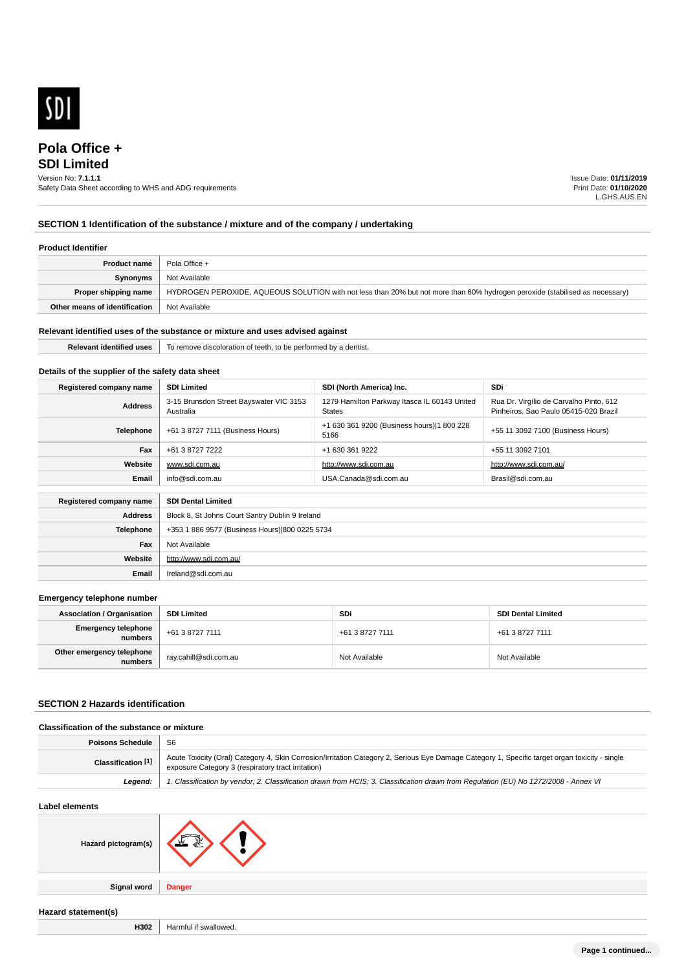

# **SDI Limited Pola Office +**

## Version No: **7.1.1.1**

Safety Data Sheet according to WHS and ADG requirements

Issue Date: **01/11/2019** Print Date: **01/10/2020** L.GHS.AUS.EN

## **SECTION 1 Identification of the substance / mixture and of the company / undertaking**

## **Product Identifier**

| <b>Product name</b>           | Pola Office +                                                                                                                |
|-------------------------------|------------------------------------------------------------------------------------------------------------------------------|
| Synonyms                      | Not Available                                                                                                                |
| Proper shipping name          | HYDROGEN PEROXIDE, AQUEOUS SOLUTION with not less than 20% but not more than 60% hydrogen peroxide (stabilised as necessary) |
| Other means of identification | Not Available                                                                                                                |

### **Relevant identified uses of the substance or mixture and uses advised against**

| To remove<br>าration<br>aiscoio<br>nerro<br>'urla<br>Teetr<br>ISL.<br>. |  |  |
|-------------------------------------------------------------------------|--|--|
|                                                                         |  |  |

## **Details of the supplier of the safety data sheet**

| Registered company name | <b>SDI Limited</b>                                   | SDI (North America) Inc.                                      | SDi                                                                              |
|-------------------------|------------------------------------------------------|---------------------------------------------------------------|----------------------------------------------------------------------------------|
| <b>Address</b>          | 3-15 Brunsdon Street Bayswater VIC 3153<br>Australia | 1279 Hamilton Parkway Itasca IL 60143 United<br><b>States</b> | Rua Dr. Virgílio de Carvalho Pinto, 612<br>Pinheiros, Sao Paulo 05415-020 Brazil |
| Telephone               | +61 3 8727 7111 (Business Hours)                     | +1 630 361 9200 (Business hours) 1 800 228<br>5166            | +55 11 3092 7100 (Business Hours)                                                |
| Fax                     | +61 3 8727 7222                                      | +1 630 361 9222                                               | +55 11 3092 7101                                                                 |
| Website                 | www.sdi.com.au                                       | http://www.sdi.com.au                                         | http://www.sdi.com.au/                                                           |
| Email                   | info@sdi.com.au                                      | USA.Canada@sdi.com.au                                         | Brasil@sdi.com.au                                                                |
| Registered company name | <b>SDI Dental Limited</b>                            |                                                               |                                                                                  |
| <b>Address</b>          | Block 8, St Johns Court Santry Dublin 9 Ireland      |                                                               |                                                                                  |
| <b>Telephone</b>        | +353 1 886 9577 (Business Hours) 800 0225 5734       |                                                               |                                                                                  |
| Fax                     | Not Available                                        |                                                               |                                                                                  |
| Website                 | http://www.sdi.com.au/                               |                                                               |                                                                                  |
| Email                   | Ireland@sdi.com.au                                   |                                                               |                                                                                  |

### **Emergency telephone number**

| <b>Association / Organisation</b>    | <b>SDI Limited</b>    | <b>SDi</b>      | <b>SDI Dental Limited</b> |
|--------------------------------------|-----------------------|-----------------|---------------------------|
| Emergency telephone<br>numbers       | +61 3 8727 7111       | +61 3 8727 7111 | +61 3 8727 7111           |
| Other emergency telephone<br>numbers | ray.cahill@sdi.com.au | Not Available   | Not Available             |

## **SECTION 2 Hazards identification**

| Classification of the substance or mixture |                                                                                                                                                                                                      |  |
|--------------------------------------------|------------------------------------------------------------------------------------------------------------------------------------------------------------------------------------------------------|--|
| <b>Poisons Schedule</b>                    | -S6                                                                                                                                                                                                  |  |
| Classification <sup>[1]</sup>              | Acute Toxicity (Oral) Category 4, Skin Corrosion/Irritation Category 2, Serious Eye Damage Category 1, Specific target organ toxicity - single<br>exposure Category 3 (respiratory tract irritation) |  |
| Leaend:                                    | 1. Classification by vendor; 2. Classification drawn from HCIS; 3. Classification drawn from Regulation (EU) No 1272/2008 - Annex VI                                                                 |  |

## **Label elements**

| Hazard pictogram(s) |               |
|---------------------|---------------|
|                     |               |
| <b>Signal word</b>  | <b>Danger</b> |
|                     |               |

## **Hazard statement(s)**

**H302** Harmful if swallowed.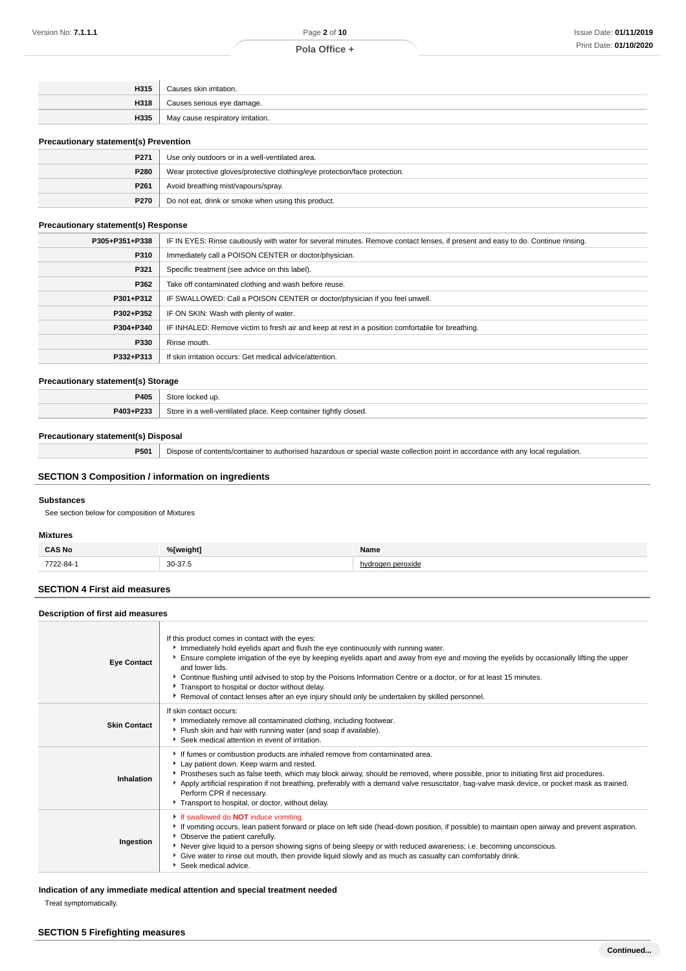| H315 | Causes skin irritation.           |
|------|-----------------------------------|
| H318 | Causes serious eye damage.        |
| H335 | May cause respiratory irritation. |

### **Precautionary statement(s) Prevention**

| P271             | Use only outdoors or in a well-ventilated area.                            |
|------------------|----------------------------------------------------------------------------|
| P280             | Wear protective gloves/protective clothing/eye protection/face protection. |
| P <sub>261</sub> | Avoid breathing mist/vapours/spray.                                        |
| P <sub>270</sub> | Do not eat, drink or smoke when using this product.                        |

## **Precautionary statement(s) Response**

| P305+P351+P338 | IF IN EYES: Rinse cautiously with water for several minutes. Remove contact lenses, if present and easy to do. Continue rinsing. |  |
|----------------|----------------------------------------------------------------------------------------------------------------------------------|--|
| P310           | Immediately call a POISON CENTER or doctor/physician.                                                                            |  |
| P321           | Specific treatment (see advice on this label).                                                                                   |  |
| P362           | Take off contaminated clothing and wash before reuse.                                                                            |  |
| P301+P312      | IF SWALLOWED: Call a POISON CENTER or doctor/physician if you feel unwell.                                                       |  |
| P302+P352      | IF ON SKIN: Wash with plenty of water.                                                                                           |  |
| P304+P340      | IF INHALED: Remove victim to fresh air and keep at rest in a position comfortable for breathing.                                 |  |
| P330           | Rinse mouth.                                                                                                                     |  |
| P332+P313      | If skin irritation occurs: Get medical advice/attention.                                                                         |  |

### **Precautionary statement(s) Storage**

| ____                    | the control of the control of                                                             |
|-------------------------|-------------------------------------------------------------------------------------------|
| P405                    |                                                                                           |
| <b>DA03+D233</b><br>٤Ĵ. | <b>Store</b><br><b>Keep container tightly to</b><br>n a well-ventilated place.<br>closed. |

### **Precautionary statement(s) Disposal**

**P501** Dispose of contents/container to authorised hazardous or special waste collection point in accordance with any local regulation.

## **SECTION 3 Composition / information on ingredients**

### **Substances**

See section below for composition of Mixtures

### **Mixtures**

| <b>CAS No</b> | %[weight] | Name |
|---------------|-----------|------|
| 7722-84-      | 30-37.5   |      |

### **SECTION 4 First aid measures**

### **Description of first aid measures Eye Contact** If this product comes in contact with the eyes: Immediately hold eyelids apart and flush the eye continuously with running water. Ensure complete irrigation of the eye by keeping eyelids apart and away from eye and moving the eyelids by occasionally lifting the upper and lower lids.

|                     | and lower lids.<br>► Continue flushing until advised to stop by the Poisons Information Centre or a doctor, or for at least 15 minutes.<br>Transport to hospital or doctor without delay.<br>Removal of contact lenses after an eye injury should only be undertaken by skilled personnel.                                                                                                                                                                                                        |
|---------------------|---------------------------------------------------------------------------------------------------------------------------------------------------------------------------------------------------------------------------------------------------------------------------------------------------------------------------------------------------------------------------------------------------------------------------------------------------------------------------------------------------|
| <b>Skin Contact</b> | If skin contact occurs:<br>Immediately remove all contaminated clothing, including footwear.<br>Flush skin and hair with running water (and soap if available).<br>Seek medical attention in event of irritation.                                                                                                                                                                                                                                                                                 |
| Inhalation          | If fumes or combustion products are inhaled remove from contaminated area.<br>Lay patient down. Keep warm and rested.<br>▶ Prostheses such as false teeth, which may block airway, should be removed, where possible, prior to initiating first aid procedures.<br>Apply artificial respiration if not breathing, preferably with a demand valve resuscitator, bag-valve mask device, or pocket mask as trained.<br>Perform CPR if necessary.<br>Transport to hospital, or doctor, without delay. |
| Ingestion           | If swallowed do <b>NOT</b> induce vomiting.<br>If vomiting occurs, lean patient forward or place on left side (head-down position, if possible) to maintain open airway and prevent aspiration.<br>• Observe the patient carefully.<br>Never give liquid to a person showing signs of being sleepy or with reduced awareness; i.e. becoming unconscious.<br>• Give water to rinse out mouth, then provide liquid slowly and as much as casualty can comfortably drink.<br>Seek medical advice.    |

## **Indication of any immediate medical attention and special treatment needed**

Treat symptomatically.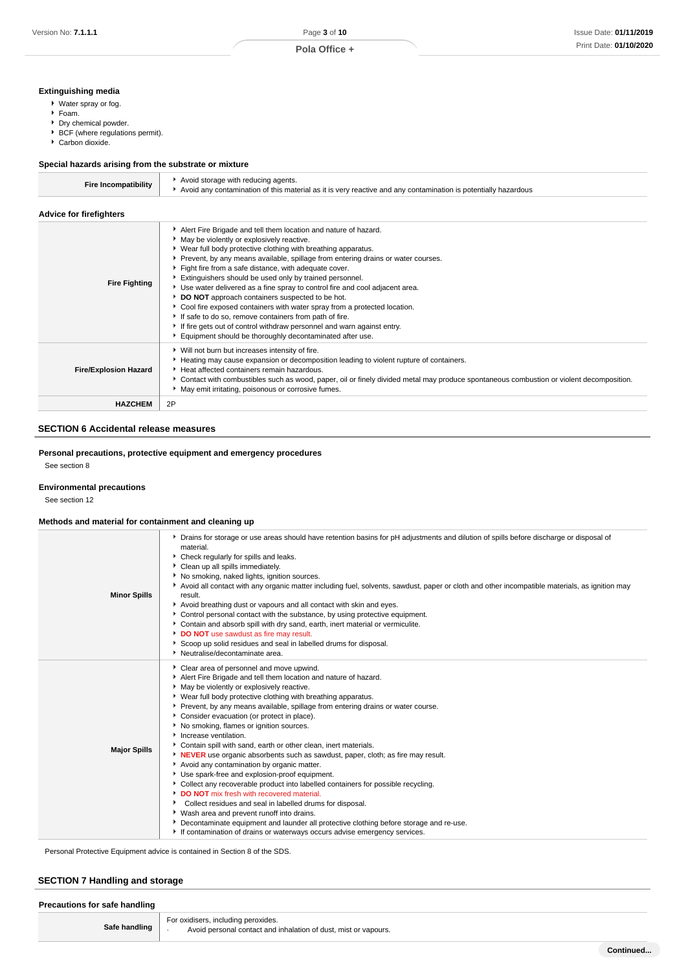## **Extinguishing media**

- Water spray or fog.
- Foam.
- Dry chemical powder.
- BCF (where regulations permit).
- ▶ Carbon dioxide.

### **Special hazards arising from the substrate or mixture**

| <b>Fire Incompatibility</b>    | Avoid storage with reducing agents.<br>Avoid any contamination of this material as it is very reactive and any contamination is potentially hazardous                                                                                                                                                                                                                                                                                                                    |
|--------------------------------|--------------------------------------------------------------------------------------------------------------------------------------------------------------------------------------------------------------------------------------------------------------------------------------------------------------------------------------------------------------------------------------------------------------------------------------------------------------------------|
| <b>Advice for firefighters</b> |                                                                                                                                                                                                                                                                                                                                                                                                                                                                          |
| <b>Fire Fighting</b>           | Alert Fire Brigade and tell them location and nature of hazard.<br>• May be violently or explosively reactive.<br>▶ Wear full body protective clothing with breathing apparatus.<br>▶ Prevent, by any means available, spillage from entering drains or water courses.<br>Fight fire from a safe distance, with adequate cover.<br>Extinguishers should be used only by trained personnel.<br>Leo water delivered as a fine spray to control fire and cool adjacent area |

## **SECTION 6 Accidental release measures**

## **Personal precautions, protective equipment and emergency procedures**

See section 8

### **Environmental precautions**

See section 12

## **Methods and material for containment and cleaning up**

| <b>Minor Spills</b> | • Drains for storage or use areas should have retention basins for pH adjustments and dilution of spills before discharge or disposal of<br>material.<br>Check regularly for spills and leaks.<br>Clean up all spills immediately.<br>No smoking, naked lights, ignition sources.<br>Avoid all contact with any organic matter including fuel, solvents, sawdust, paper or cloth and other incompatible materials, as ignition may<br>result.<br>Avoid breathing dust or vapours and all contact with skin and eyes.<br>Control personal contact with the substance, by using protective equipment.<br>Contain and absorb spill with dry sand, earth, inert material or vermiculite.<br>DO NOT use sawdust as fire may result.<br>Scoop up solid residues and seal in labelled drums for disposal.<br>Neutralise/decontaminate area.                                                                                                                                                                                                                                                                           |
|---------------------|----------------------------------------------------------------------------------------------------------------------------------------------------------------------------------------------------------------------------------------------------------------------------------------------------------------------------------------------------------------------------------------------------------------------------------------------------------------------------------------------------------------------------------------------------------------------------------------------------------------------------------------------------------------------------------------------------------------------------------------------------------------------------------------------------------------------------------------------------------------------------------------------------------------------------------------------------------------------------------------------------------------------------------------------------------------------------------------------------------------|
| <b>Major Spills</b> | Clear area of personnel and move upwind.<br>Alert Fire Brigade and tell them location and nature of hazard.<br>May be violently or explosively reactive.<br>• Wear full body protective clothing with breathing apparatus.<br>Prevent, by any means available, spillage from entering drains or water course.<br>Consider evacuation (or protect in place).<br>▶ No smoking, flames or ignition sources.<br>Increase ventilation.<br>Contain spill with sand, earth or other clean, inert materials.<br>NEVER use organic absorbents such as sawdust, paper, cloth; as fire may result.<br>Avoid any contamination by organic matter.<br>Use spark-free and explosion-proof equipment.<br>► Collect any recoverable product into labelled containers for possible recycling.<br>DO NOT mix fresh with recovered material.<br>• Collect residues and seal in labelled drums for disposal.<br>▶ Wash area and prevent runoff into drains.<br>Decontaminate equipment and launder all protective clothing before storage and re-use.<br>If contamination of drains or waterways occurs advise emergency services. |

Personal Protective Equipment advice is contained in Section 8 of the SDS.

## **SECTION 7 Handling and storage**

### **Precautions for safe handling**

| Safe handling | For oxidisers, including peroxides.<br>personal contact and inhalation of dust, mist or vapours. |
|---------------|--------------------------------------------------------------------------------------------------|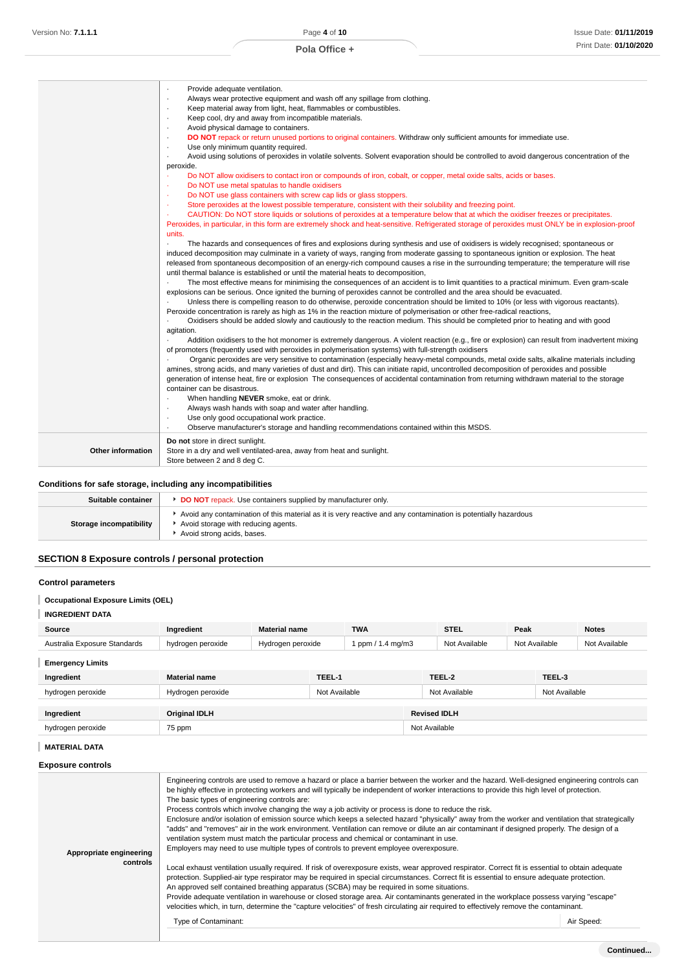|                          | Provide adequate ventilation.                                                                                                                    |
|--------------------------|--------------------------------------------------------------------------------------------------------------------------------------------------|
|                          | Always wear protective equipment and wash off any spillage from clothing.<br>$\cdot$                                                             |
|                          | Keep material away from light, heat, flammables or combustibles.                                                                                 |
|                          | Keep cool, dry and away from incompatible materials.                                                                                             |
|                          | Avoid physical damage to containers.                                                                                                             |
|                          | DO NOT repack or return unused portions to original containers. Withdraw only sufficient amounts for immediate use.                              |
|                          | Use only minimum quantity required.                                                                                                              |
|                          | Avoid using solutions of peroxides in volatile solvents. Solvent evaporation should be controlled to avoid dangerous concentration of the<br>٠   |
|                          | peroxide.                                                                                                                                        |
|                          | Do NOT allow oxidisers to contact iron or compounds of iron, cobalt, or copper, metal oxide salts, acids or bases.                               |
|                          | Do NOT use metal spatulas to handle oxidisers<br>٠                                                                                               |
|                          | Do NOT use glass containers with screw cap lids or glass stoppers.                                                                               |
|                          | Store peroxides at the lowest possible temperature, consistent with their solubility and freezing point.                                         |
|                          | CAUTION: Do NOT store liquids or solutions of peroxides at a temperature below that at which the oxidiser freezes or precipitates.               |
|                          | Peroxides, in particular, in this form are extremely shock and heat-sensitive. Refrigerated storage of peroxides must ONLY be in explosion-proof |
|                          | units.                                                                                                                                           |
|                          | The hazards and consequences of fires and explosions during synthesis and use of oxidisers is widely recognised; spontaneous or                  |
|                          | induced decomposition may culminate in a variety of ways, ranging from moderate gassing to spontaneous ignition or explosion. The heat           |
|                          | released from spontaneous decomposition of an energy-rich compound causes a rise in the surrounding temperature; the temperature will rise       |
|                          | until thermal balance is established or until the material heats to decomposition,                                                               |
|                          | The most effective means for minimising the consequences of an accident is to limit quantities to a practical minimum. Even gram-scale           |
|                          | explosions can be serious. Once ignited the burning of peroxides cannot be controlled and the area should be evacuated.                          |
|                          | Unless there is compelling reason to do otherwise, peroxide concentration should be limited to 10% (or less with vigorous reactants).            |
|                          | Peroxide concentration is rarely as high as 1% in the reaction mixture of polymerisation or other free-radical reactions,                        |
|                          | Oxidisers should be added slowly and cautiously to the reaction medium. This should be completed prior to heating and with good                  |
|                          | agitation.                                                                                                                                       |
|                          | Addition oxidisers to the hot monomer is extremely dangerous. A violent reaction (e.g., fire or explosion) can result from inadvertent mixing    |
|                          | of promoters (frequently used with peroxides in polymerisation systems) with full-strength oxidisers                                             |
|                          | Organic peroxides are very sensitive to contamination (especially heavy-metal compounds, metal oxide salts, alkaline materials including         |
|                          | amines, strong acids, and many varieties of dust and dirt). This can initiate rapid, uncontrolled decomposition of peroxides and possible        |
|                          | generation of intense heat, fire or explosion The consequences of accidental contamination from returning withdrawn material to the storage      |
|                          | container can be disastrous.                                                                                                                     |
|                          | When handling NEVER smoke, eat or drink.                                                                                                         |
|                          | Always wash hands with soap and water after handling.                                                                                            |
|                          | Use only good occupational work practice.                                                                                                        |
|                          | Observe manufacturer's storage and handling recommendations contained within this MSDS.<br>٠                                                     |
|                          | Do not store in direct sunlight.                                                                                                                 |
| <b>Other information</b> | Store in a dry and well ventilated-area, away from heat and sunlight.                                                                            |
|                          | Store between 2 and 8 deg C.                                                                                                                     |
|                          |                                                                                                                                                  |

## **Conditions for safe storage, including any incompatibilities**

| Suitable container      | DO NOT repack. Use containers supplied by manufacturer only.                                                                                                                        |  |  |
|-------------------------|-------------------------------------------------------------------------------------------------------------------------------------------------------------------------------------|--|--|
| Storage incompatibility | Avoid any contamination of this material as it is very reactive and any contamination is potentially hazardous<br>Avoid storage with reducing agents.<br>Avoid strong acids, bases. |  |  |

## **SECTION 8 Exposure controls / personal protection**

### **Control parameters**

## **Occupational Exposure Limits (OEL)**

### **INGREDIENT DATA**

| Source                       | Ingredient        | <b>Material name</b> | <b>TWA</b>        | <b>STEL</b>   | Peak          | <b>Notes</b>  |
|------------------------------|-------------------|----------------------|-------------------|---------------|---------------|---------------|
| Australia Exposure Standards | hydrogen peroxide | Hydrogen peroxide    | 1 ppm / 1.4 ma/m3 | Not Available | Not Available | Not Available |
| <b>Emergency Limits</b>      |                   |                      |                   |               |               |               |

**Ingredient Material name TEEL-1 TEEL-2 TEEL-3** hydrogen peroxide Hydrogen peroxide Not Available Not Available Not Available **Ingredient Criginal IDLH Revised IDLH** hydrogen peroxide 75 ppm Not Available 1999 and 1999 and 1999 and 1999 and 1999 and 1999 and 1999 and 1999 and 1999 and 1999 and 1999 and 1999 and 1999 and 1999 and 1999 and 1999 and 1999 and 1999 and 1999 and 1999 and 199

## **MATERIAL DATA**

## **Exposure controls**

| Appropriate engineering<br>controls | Engineering controls are used to remove a hazard or place a barrier between the worker and the hazard. Well-designed engineering controls can<br>be highly effective in protecting workers and will typically be independent of worker interactions to provide this high level of protection.<br>The basic types of engineering controls are:<br>Process controls which involve changing the way a job activity or process is done to reduce the risk.<br>Enclosure and/or isolation of emission source which keeps a selected hazard "physically" away from the worker and ventilation that strategically<br>"adds" and "removes" air in the work environment. Ventilation can remove or dilute an air contaminant if designed properly. The design of a<br>ventilation system must match the particular process and chemical or contaminant in use.<br>Employers may need to use multiple types of controls to prevent employee overexposure.<br>Local exhaust ventilation usually required. If risk of overexposure exists, wear approved respirator. Correct fit is essential to obtain adequate<br>protection. Supplied-air type respirator may be required in special circumstances. Correct fit is essential to ensure adequate protection.<br>An approved self contained breathing apparatus (SCBA) may be required in some situations.<br>Provide adequate ventilation in warehouse or closed storage area. Air contaminants generated in the workplace possess varying "escape"<br>velocities which, in turn, determine the "capture velocities" of fresh circulating air required to effectively remove the contaminant.<br>Type of Contaminant: | Air Speed: |
|-------------------------------------|-------------------------------------------------------------------------------------------------------------------------------------------------------------------------------------------------------------------------------------------------------------------------------------------------------------------------------------------------------------------------------------------------------------------------------------------------------------------------------------------------------------------------------------------------------------------------------------------------------------------------------------------------------------------------------------------------------------------------------------------------------------------------------------------------------------------------------------------------------------------------------------------------------------------------------------------------------------------------------------------------------------------------------------------------------------------------------------------------------------------------------------------------------------------------------------------------------------------------------------------------------------------------------------------------------------------------------------------------------------------------------------------------------------------------------------------------------------------------------------------------------------------------------------------------------------------------------------------------------------------------------------------------------------|------------|
|                                     |                                                                                                                                                                                                                                                                                                                                                                                                                                                                                                                                                                                                                                                                                                                                                                                                                                                                                                                                                                                                                                                                                                                                                                                                                                                                                                                                                                                                                                                                                                                                                                                                                                                             |            |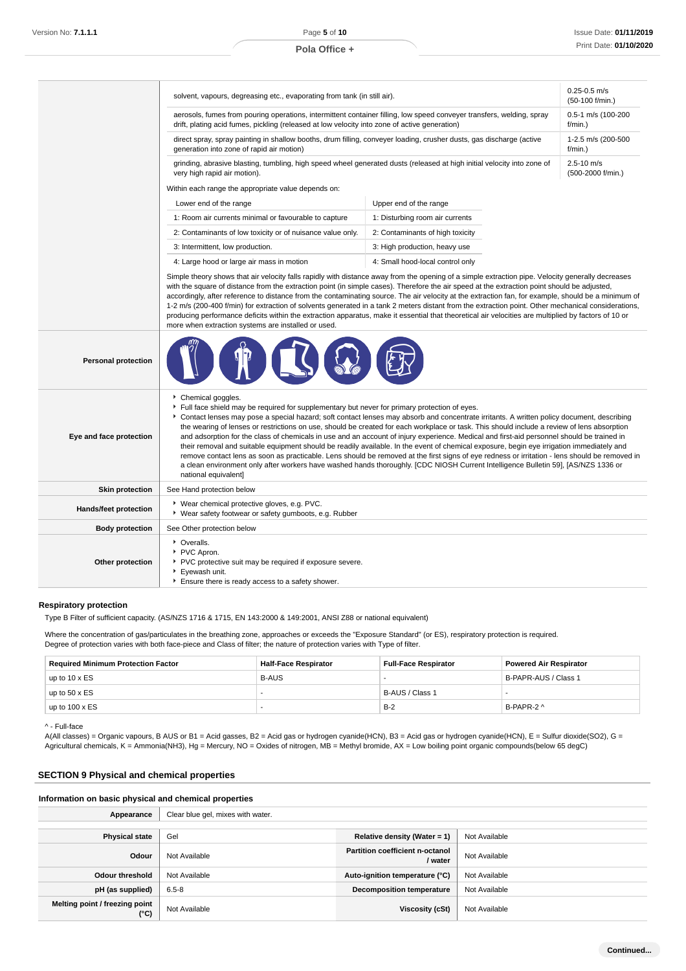|                            | solvent, vapours, degreasing etc., evaporating from tank (in still air).                                                                                                                                                                                                                                                                                                                                                                                                                                                                                                                                                                                                                                                                                                                                                                                                                                                                                                                                                 | $0.25 - 0.5$ m/s<br>(50-100 f/min.) |  |  |  |
|----------------------------|--------------------------------------------------------------------------------------------------------------------------------------------------------------------------------------------------------------------------------------------------------------------------------------------------------------------------------------------------------------------------------------------------------------------------------------------------------------------------------------------------------------------------------------------------------------------------------------------------------------------------------------------------------------------------------------------------------------------------------------------------------------------------------------------------------------------------------------------------------------------------------------------------------------------------------------------------------------------------------------------------------------------------|-------------------------------------|--|--|--|
|                            | aerosols, fumes from pouring operations, intermittent container filling, low speed conveyer transfers, welding, spray<br>drift, plating acid fumes, pickling (released at low velocity into zone of active generation)                                                                                                                                                                                                                                                                                                                                                                                                                                                                                                                                                                                                                                                                                                                                                                                                   | 0.5-1 m/s (100-200<br>f/min.)       |  |  |  |
|                            | direct spray, spray painting in shallow booths, drum filling, conveyer loading, crusher dusts, gas discharge (active<br>generation into zone of rapid air motion)                                                                                                                                                                                                                                                                                                                                                                                                                                                                                                                                                                                                                                                                                                                                                                                                                                                        | 1-2.5 m/s (200-500<br>f/min.)       |  |  |  |
|                            | grinding, abrasive blasting, tumbling, high speed wheel generated dusts (released at high initial velocity into zone of<br>very high rapid air motion).                                                                                                                                                                                                                                                                                                                                                                                                                                                                                                                                                                                                                                                                                                                                                                                                                                                                  | 2.5-10 m/s<br>(500-2000 f/min.)     |  |  |  |
|                            | Within each range the appropriate value depends on:                                                                                                                                                                                                                                                                                                                                                                                                                                                                                                                                                                                                                                                                                                                                                                                                                                                                                                                                                                      |                                     |  |  |  |
|                            | Lower end of the range                                                                                                                                                                                                                                                                                                                                                                                                                                                                                                                                                                                                                                                                                                                                                                                                                                                                                                                                                                                                   |                                     |  |  |  |
|                            | 1: Room air currents minimal or favourable to capture                                                                                                                                                                                                                                                                                                                                                                                                                                                                                                                                                                                                                                                                                                                                                                                                                                                                                                                                                                    | 1: Disturbing room air currents     |  |  |  |
|                            | 2: Contaminants of low toxicity or of nuisance value only.                                                                                                                                                                                                                                                                                                                                                                                                                                                                                                                                                                                                                                                                                                                                                                                                                                                                                                                                                               | 2: Contaminants of high toxicity    |  |  |  |
|                            | 3: Intermittent, low production.                                                                                                                                                                                                                                                                                                                                                                                                                                                                                                                                                                                                                                                                                                                                                                                                                                                                                                                                                                                         | 3: High production, heavy use       |  |  |  |
|                            | 4: Large hood or large air mass in motion                                                                                                                                                                                                                                                                                                                                                                                                                                                                                                                                                                                                                                                                                                                                                                                                                                                                                                                                                                                | 4: Small hood-local control only    |  |  |  |
|                            | Simple theory shows that air velocity falls rapidly with distance away from the opening of a simple extraction pipe. Velocity generally decreases<br>with the square of distance from the extraction point (in simple cases). Therefore the air speed at the extraction point should be adjusted,<br>accordingly, after reference to distance from the contaminating source. The air velocity at the extraction fan, for example, should be a minimum of<br>1-2 m/s (200-400 f/min) for extraction of solvents generated in a tank 2 meters distant from the extraction point. Other mechanical considerations,<br>producing performance deficits within the extraction apparatus, make it essential that theoretical air velocities are multiplied by factors of 10 or<br>more when extraction systems are installed or used.                                                                                                                                                                                           |                                     |  |  |  |
| <b>Personal protection</b> |                                                                                                                                                                                                                                                                                                                                                                                                                                                                                                                                                                                                                                                                                                                                                                                                                                                                                                                                                                                                                          |                                     |  |  |  |
| Eye and face protection    | Chemical goggles.<br>Full face shield may be required for supplementary but never for primary protection of eyes.<br>Contact lenses may pose a special hazard; soft contact lenses may absorb and concentrate irritants. A written policy document, describing<br>the wearing of lenses or restrictions on use, should be created for each workplace or task. This should include a review of lens absorption<br>and adsorption for the class of chemicals in use and an account of injury experience. Medical and first-aid personnel should be trained in<br>their removal and suitable equipment should be readily available. In the event of chemical exposure, begin eye irrigation immediately and<br>remove contact lens as soon as practicable. Lens should be removed at the first signs of eye redness or irritation - lens should be removed in<br>a clean environment only after workers have washed hands thoroughly. [CDC NIOSH Current Intelligence Bulletin 59], [AS/NZS 1336 or<br>national equivalent] |                                     |  |  |  |
| <b>Skin protection</b>     | See Hand protection below                                                                                                                                                                                                                                                                                                                                                                                                                                                                                                                                                                                                                                                                                                                                                                                                                                                                                                                                                                                                |                                     |  |  |  |
| Hands/feet protection      | ▶ Wear chemical protective gloves, e.g. PVC.<br>▶ Wear safety footwear or safety gumboots, e.g. Rubber                                                                                                                                                                                                                                                                                                                                                                                                                                                                                                                                                                                                                                                                                                                                                                                                                                                                                                                   |                                     |  |  |  |
| <b>Body protection</b>     | See Other protection below                                                                                                                                                                                                                                                                                                                                                                                                                                                                                                                                                                                                                                                                                                                                                                                                                                                                                                                                                                                               |                                     |  |  |  |
| Other protection           | • Overalls.<br>PVC Apron.<br>PVC protective suit may be required if exposure severe.<br>Eyewash unit.<br>Ensure there is ready access to a safety shower.                                                                                                                                                                                                                                                                                                                                                                                                                                                                                                                                                                                                                                                                                                                                                                                                                                                                |                                     |  |  |  |

### **Respiratory protection**

Type B Filter of sufficient capacity. (AS/NZS 1716 & 1715, EN 143:2000 & 149:2001, ANSI Z88 or national equivalent)

Where the concentration of gas/particulates in the breathing zone, approaches or exceeds the "Exposure Standard" (or ES), respiratory protection is required. Degree of protection varies with both face-piece and Class of filter; the nature of protection varies with Type of filter.

| <b>Required Minimum Protection Factor</b> | <b>Half-Face Respirator</b> | <b>Full-Face Respirator</b> |                      |
|-------------------------------------------|-----------------------------|-----------------------------|----------------------|
| up to $10 \times ES$                      | <b>B-AUS</b>                |                             | B-PAPR-AUS / Class 1 |
| up to $50 \times ES$                      |                             | B-AUS / Class 1             |                      |
| up to $100 \times ES$                     |                             | $B-2$                       | B-PAPR-2 ^           |

#### ^ - Full-face

A(All classes) = Organic vapours, B AUS or B1 = Acid gasses, B2 = Acid gas or hydrogen cyanide(HCN), B3 = Acid gas or hydrogen cyanide(HCN), E = Sulfur dioxide(SO2), G = Agricultural chemicals, K = Ammonia(NH3), Hg = Mercury, NO = Oxides of nitrogen, MB = Methyl bromide, AX = Low boiling point organic compounds(below 65 degC)

## **SECTION 9 Physical and chemical properties**

### **Information on basic physical and chemical properties**

| Appearance                             | Clear blue gel, mixes with water. |                                                   |               |
|----------------------------------------|-----------------------------------|---------------------------------------------------|---------------|
|                                        |                                   |                                                   |               |
| <b>Physical state</b>                  | Gel                               | Relative density (Water = $1$ )                   | Not Available |
| Odour                                  | Not Available                     | <b>Partition coefficient n-octanol</b><br>/ water | Not Available |
| Odour threshold                        | Not Available                     | Auto-ignition temperature (°C)                    | Not Available |
| pH (as supplied)                       | $6.5 - 8$                         | <b>Decomposition temperature</b>                  | Not Available |
| Melting point / freezing point<br>(°C) | Not Available                     | Viscosity (cSt)                                   | Not Available |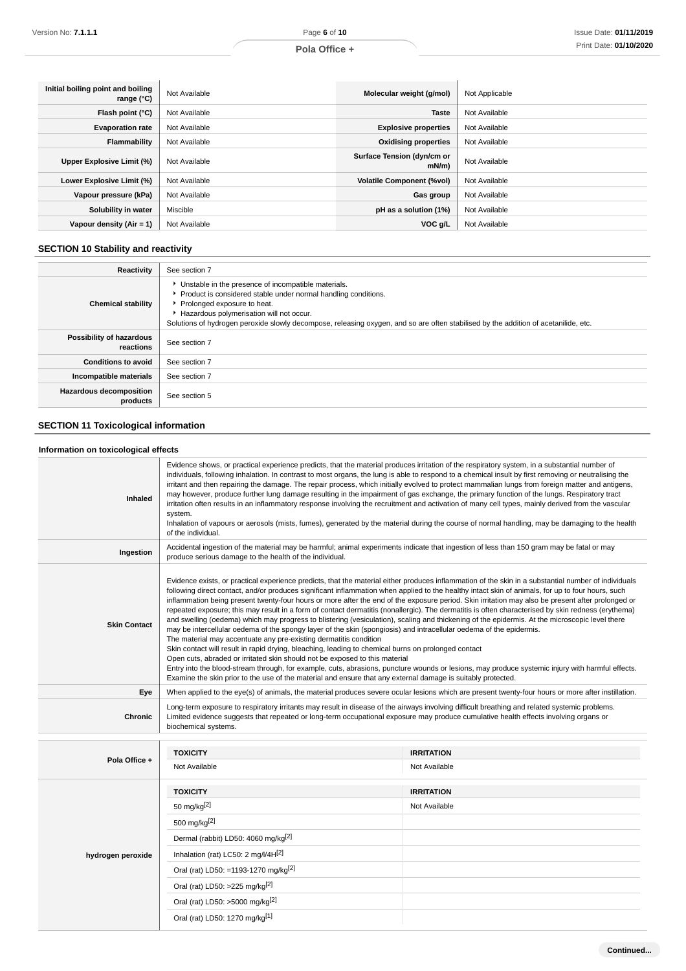## **Pola Office +**

| Initial boiling point and boiling<br>range $(^{\circ}C)$ | Not Available | Molecular weight (g/mol)               | Not Applicable |
|----------------------------------------------------------|---------------|----------------------------------------|----------------|
| Flash point $(°C)$                                       | Not Available | <b>Taste</b>                           | Not Available  |
| <b>Evaporation rate</b>                                  | Not Available | <b>Explosive properties</b>            | Not Available  |
| Flammability                                             | Not Available | <b>Oxidising properties</b>            | Not Available  |
| Upper Explosive Limit (%)                                | Not Available | Surface Tension (dyn/cm or<br>$mN/m$ ) | Not Available  |
| Lower Explosive Limit (%)                                | Not Available | <b>Volatile Component (%vol)</b>       | Not Available  |
| Vapour pressure (kPa)                                    | Not Available | Gas group                              | Not Available  |
| Solubility in water                                      | Miscible      | pH as a solution (1%)                  | Not Available  |
| Vapour density (Air = 1)                                 | Not Available | VOC g/L                                | Not Available  |

## **SECTION 10 Stability and reactivity**

| <b>Reactivity</b>                          | See section 7                                                                                                                                                                                                                                                                                                                               |
|--------------------------------------------|---------------------------------------------------------------------------------------------------------------------------------------------------------------------------------------------------------------------------------------------------------------------------------------------------------------------------------------------|
| <b>Chemical stability</b>                  | • Unstable in the presence of incompatible materials.<br>Product is considered stable under normal handling conditions.<br>▶ Prolonged exposure to heat.<br>Hazardous polymerisation will not occur.<br>Solutions of hydrogen peroxide slowly decompose, releasing oxygen, and so are often stabilised by the addition of acetanilide, etc. |
| Possibility of hazardous<br>reactions      | See section 7                                                                                                                                                                                                                                                                                                                               |
| <b>Conditions to avoid</b>                 | See section 7                                                                                                                                                                                                                                                                                                                               |
| Incompatible materials                     | See section 7                                                                                                                                                                                                                                                                                                                               |
| <b>Hazardous decomposition</b><br>products | See section 5                                                                                                                                                                                                                                                                                                                               |

## **SECTION 11 Toxicological information**

### **Information on toxicological effects**

| <b>Inhaled</b>      | Evidence shows, or practical experience predicts, that the material produces irritation of the respiratory system, in a substantial number of<br>individuals, following inhalation. In contrast to most organs, the lung is able to respond to a chemical insult by first removing or neutralising the<br>irritant and then repairing the damage. The repair process, which initially evolved to protect mammalian lungs from foreign matter and antigens,<br>may however, produce further lung damage resulting in the impairment of gas exchange, the primary function of the lungs. Respiratory tract<br>irritation often results in an inflammatory response involving the recruitment and activation of many cell types, mainly derived from the vascular<br>system.<br>Inhalation of vapours or aerosols (mists, fumes), generated by the material during the course of normal handling, may be damaging to the health<br>of the individual.                                                                                                                                                                                                                                                                                                                                                                                                                                                                           |                                    |
|---------------------|------------------------------------------------------------------------------------------------------------------------------------------------------------------------------------------------------------------------------------------------------------------------------------------------------------------------------------------------------------------------------------------------------------------------------------------------------------------------------------------------------------------------------------------------------------------------------------------------------------------------------------------------------------------------------------------------------------------------------------------------------------------------------------------------------------------------------------------------------------------------------------------------------------------------------------------------------------------------------------------------------------------------------------------------------------------------------------------------------------------------------------------------------------------------------------------------------------------------------------------------------------------------------------------------------------------------------------------------------------------------------------------------------------------------------|------------------------------------|
| Ingestion           | Accidental ingestion of the material may be harmful; animal experiments indicate that ingestion of less than 150 gram may be fatal or may<br>produce serious damage to the health of the individual.                                                                                                                                                                                                                                                                                                                                                                                                                                                                                                                                                                                                                                                                                                                                                                                                                                                                                                                                                                                                                                                                                                                                                                                                                         |                                    |
| <b>Skin Contact</b> | Evidence exists, or practical experience predicts, that the material either produces inflammation of the skin in a substantial number of individuals<br>following direct contact, and/or produces significant inflammation when applied to the healthy intact skin of animals, for up to four hours, such<br>inflammation being present twenty-four hours or more after the end of the exposure period. Skin irritation may also be present after prolonged or<br>repeated exposure; this may result in a form of contact dermatitis (nonallergic). The dermatitis is often characterised by skin redness (erythema)<br>and swelling (oedema) which may progress to blistering (vesiculation), scaling and thickening of the epidermis. At the microscopic level there<br>may be intercellular oedema of the spongy layer of the skin (spongiosis) and intracellular oedema of the epidermis.<br>The material may accentuate any pre-existing dermatitis condition<br>Skin contact will result in rapid drying, bleaching, leading to chemical burns on prolonged contact<br>Open cuts, abraded or irritated skin should not be exposed to this material<br>Entry into the blood-stream through, for example, cuts, abrasions, puncture wounds or lesions, may produce systemic injury with harmful effects.<br>Examine the skin prior to the use of the material and ensure that any external damage is suitably protected. |                                    |
| Eye                 | When applied to the eye(s) of animals, the material produces severe ocular lesions which are present twenty-four hours or more after instillation.                                                                                                                                                                                                                                                                                                                                                                                                                                                                                                                                                                                                                                                                                                                                                                                                                                                                                                                                                                                                                                                                                                                                                                                                                                                                           |                                    |
| <b>Chronic</b>      | Long-term exposure to respiratory irritants may result in disease of the airways involving difficult breathing and related systemic problems.<br>Limited evidence suggests that repeated or long-term occupational exposure may produce cumulative health effects involving organs or<br>biochemical systems.                                                                                                                                                                                                                                                                                                                                                                                                                                                                                                                                                                                                                                                                                                                                                                                                                                                                                                                                                                                                                                                                                                                |                                    |
|                     |                                                                                                                                                                                                                                                                                                                                                                                                                                                                                                                                                                                                                                                                                                                                                                                                                                                                                                                                                                                                                                                                                                                                                                                                                                                                                                                                                                                                                              |                                    |
| Pola Office +       | <b>TOXICITY</b><br>Not Available                                                                                                                                                                                                                                                                                                                                                                                                                                                                                                                                                                                                                                                                                                                                                                                                                                                                                                                                                                                                                                                                                                                                                                                                                                                                                                                                                                                             | <b>IRRITATION</b><br>Not Available |
|                     |                                                                                                                                                                                                                                                                                                                                                                                                                                                                                                                                                                                                                                                                                                                                                                                                                                                                                                                                                                                                                                                                                                                                                                                                                                                                                                                                                                                                                              |                                    |
|                     | <b>TOXICITY</b>                                                                                                                                                                                                                                                                                                                                                                                                                                                                                                                                                                                                                                                                                                                                                                                                                                                                                                                                                                                                                                                                                                                                                                                                                                                                                                                                                                                                              | <b>IRRITATION</b>                  |
|                     | 50 mg/kg[2]                                                                                                                                                                                                                                                                                                                                                                                                                                                                                                                                                                                                                                                                                                                                                                                                                                                                                                                                                                                                                                                                                                                                                                                                                                                                                                                                                                                                                  | Not Available                      |
|                     | 500 mg/kg <sup>[2]</sup>                                                                                                                                                                                                                                                                                                                                                                                                                                                                                                                                                                                                                                                                                                                                                                                                                                                                                                                                                                                                                                                                                                                                                                                                                                                                                                                                                                                                     |                                    |
|                     | Dermal (rabbit) LD50: 4060 mg/kg <sup>[2]</sup>                                                                                                                                                                                                                                                                                                                                                                                                                                                                                                                                                                                                                                                                                                                                                                                                                                                                                                                                                                                                                                                                                                                                                                                                                                                                                                                                                                              |                                    |
| hydrogen peroxide   | Inhalation (rat) LC50: 2 mg/l/4H[2]                                                                                                                                                                                                                                                                                                                                                                                                                                                                                                                                                                                                                                                                                                                                                                                                                                                                                                                                                                                                                                                                                                                                                                                                                                                                                                                                                                                          |                                    |
|                     | Oral (rat) LD50: =1193-1270 mg/kg <sup>[2]</sup>                                                                                                                                                                                                                                                                                                                                                                                                                                                                                                                                                                                                                                                                                                                                                                                                                                                                                                                                                                                                                                                                                                                                                                                                                                                                                                                                                                             |                                    |
|                     | Oral (rat) LD50: >225 mg/kg[2]                                                                                                                                                                                                                                                                                                                                                                                                                                                                                                                                                                                                                                                                                                                                                                                                                                                                                                                                                                                                                                                                                                                                                                                                                                                                                                                                                                                               |                                    |
|                     | Oral (rat) LD50: >5000 mg/kg <sup>[2]</sup>                                                                                                                                                                                                                                                                                                                                                                                                                                                                                                                                                                                                                                                                                                                                                                                                                                                                                                                                                                                                                                                                                                                                                                                                                                                                                                                                                                                  |                                    |
|                     | Oral (rat) LD50: 1270 mg/kg[1]                                                                                                                                                                                                                                                                                                                                                                                                                                                                                                                                                                                                                                                                                                                                                                                                                                                                                                                                                                                                                                                                                                                                                                                                                                                                                                                                                                                               |                                    |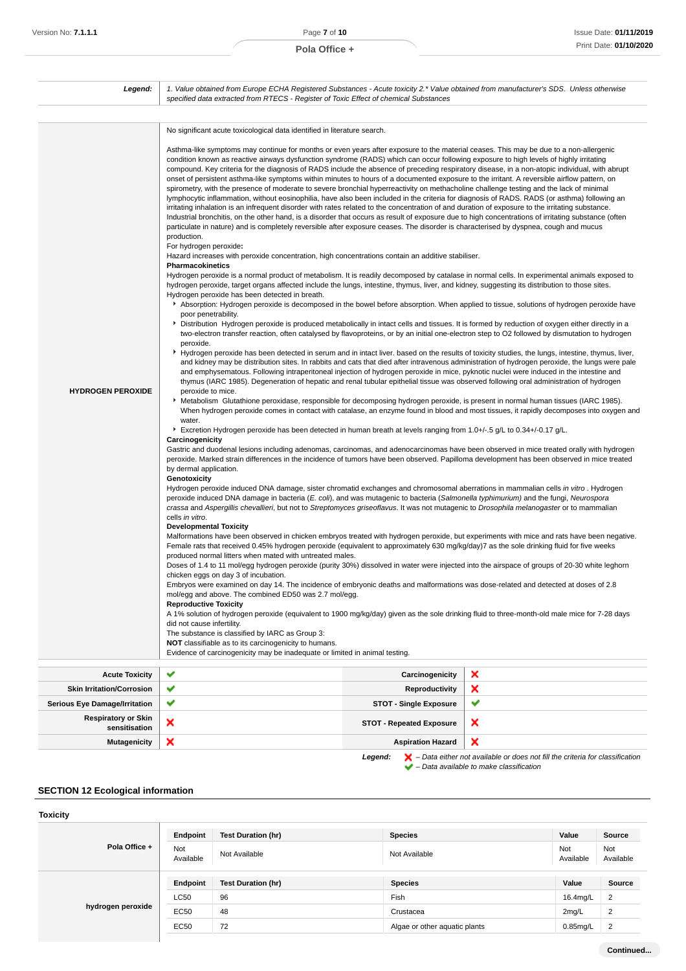| Legend:                                     | 1. Value obtained from Europe ECHA Registered Substances - Acute toxicity 2.* Value obtained from manufacturer's SDS. Unless otherwise<br>specified data extracted from RTECS - Register of Toxic Effect of chemical Substances                                                                                                                                                                                                                                                                                                                                                                                                                                                                                                                                                                                                                                                                                                                                                                                                                                                                                                                                                                                                                                                                                                                                                                                                                                                                                                                                                                                                                                                                                                                                                                                                                                                                                                                                                                                                                                                                                                                                                                                                                                                                                                                                                                                                                                                                                                                                                                                                                                                                                                                                                                                                                                                                                                                                                                                                                                                                                                                                                                                                                                                                                                                                                                                                                                                                                                                                                                                                                                                                                                                                                                                                                                                                                                                                                                                                                                                                                                                                                                                                                                                                                                                                                                                                                                                                                                                                                                                                                                                                                                                                                                                                                                      |                                 |                                                                                                                                                                                                                                                                                                                                                                                                                                                                                                                                                                                        |
|---------------------------------------------|----------------------------------------------------------------------------------------------------------------------------------------------------------------------------------------------------------------------------------------------------------------------------------------------------------------------------------------------------------------------------------------------------------------------------------------------------------------------------------------------------------------------------------------------------------------------------------------------------------------------------------------------------------------------------------------------------------------------------------------------------------------------------------------------------------------------------------------------------------------------------------------------------------------------------------------------------------------------------------------------------------------------------------------------------------------------------------------------------------------------------------------------------------------------------------------------------------------------------------------------------------------------------------------------------------------------------------------------------------------------------------------------------------------------------------------------------------------------------------------------------------------------------------------------------------------------------------------------------------------------------------------------------------------------------------------------------------------------------------------------------------------------------------------------------------------------------------------------------------------------------------------------------------------------------------------------------------------------------------------------------------------------------------------------------------------------------------------------------------------------------------------------------------------------------------------------------------------------------------------------------------------------------------------------------------------------------------------------------------------------------------------------------------------------------------------------------------------------------------------------------------------------------------------------------------------------------------------------------------------------------------------------------------------------------------------------------------------------------------------------------------------------------------------------------------------------------------------------------------------------------------------------------------------------------------------------------------------------------------------------------------------------------------------------------------------------------------------------------------------------------------------------------------------------------------------------------------------------------------------------------------------------------------------------------------------------------------------------------------------------------------------------------------------------------------------------------------------------------------------------------------------------------------------------------------------------------------------------------------------------------------------------------------------------------------------------------------------------------------------------------------------------------------------------------------------------------------------------------------------------------------------------------------------------------------------------------------------------------------------------------------------------------------------------------------------------------------------------------------------------------------------------------------------------------------------------------------------------------------------------------------------------------------------------------------------------------------------------------------------------------------------------------------------------------------------------------------------------------------------------------------------------------------------------------------------------------------------------------------------------------------------------------------------------------------------------------------------------------------------------------------------------------------------------------------------------------------------------------------------------|---------------------------------|----------------------------------------------------------------------------------------------------------------------------------------------------------------------------------------------------------------------------------------------------------------------------------------------------------------------------------------------------------------------------------------------------------------------------------------------------------------------------------------------------------------------------------------------------------------------------------------|
|                                             |                                                                                                                                                                                                                                                                                                                                                                                                                                                                                                                                                                                                                                                                                                                                                                                                                                                                                                                                                                                                                                                                                                                                                                                                                                                                                                                                                                                                                                                                                                                                                                                                                                                                                                                                                                                                                                                                                                                                                                                                                                                                                                                                                                                                                                                                                                                                                                                                                                                                                                                                                                                                                                                                                                                                                                                                                                                                                                                                                                                                                                                                                                                                                                                                                                                                                                                                                                                                                                                                                                                                                                                                                                                                                                                                                                                                                                                                                                                                                                                                                                                                                                                                                                                                                                                                                                                                                                                                                                                                                                                                                                                                                                                                                                                                                                                                                                                                      |                                 |                                                                                                                                                                                                                                                                                                                                                                                                                                                                                                                                                                                        |
| <b>HYDROGEN PEROXIDE</b>                    | No significant acute toxicological data identified in literature search.<br>Asthma-like symptoms may continue for months or even years after exposure to the material ceases. This may be due to a non-allergenic<br>condition known as reactive airways dysfunction syndrome (RADS) which can occur following exposure to high levels of highly irritating<br>compound. Key criteria for the diagnosis of RADS include the absence of preceding respiratory disease, in a non-atopic individual, with abrupt<br>onset of persistent asthma-like symptoms within minutes to hours of a documented exposure to the irritant. A reversible airflow pattern, on<br>spirometry, with the presence of moderate to severe bronchial hyperreactivity on methacholine challenge testing and the lack of minimal<br>lymphocytic inflammation, without eosinophilia, have also been included in the criteria for diagnosis of RADS. RADS (or asthma) following an<br>irritating inhalation is an infrequent disorder with rates related to the concentration of and duration of exposure to the irritating substance.<br>Industrial bronchitis, on the other hand, is a disorder that occurs as result of exposure due to high concentrations of irritating substance (often<br>particulate in nature) and is completely reversible after exposure ceases. The disorder is characterised by dyspnea, cough and mucus<br>production.<br>For hydrogen peroxide:<br>Hazard increases with peroxide concentration, high concentrations contain an additive stabiliser.<br><b>Pharmacokinetics</b><br>Hydrogen peroxide is a normal product of metabolism. It is readily decomposed by catalase in normal cells. In experimental animals exposed to<br>hydrogen peroxide, target organs affected include the lungs, intestine, thymus, liver, and kidney, suggesting its distribution to those sites.<br>Hydrogen peroxide has been detected in breath.<br>poor penetrability.<br>Distribution Hydrogen peroxide is produced metabolically in intact cells and tissues. It is formed by reduction of oxygen either directly in a<br>peroxide.<br>▶ Hydrogen peroxide has been detected in serum and in intact liver. based on the results of toxicity studies, the lungs, intestine, thymus, liver,<br>and emphysematous. Following intraperitoneal injection of hydrogen peroxide in mice, pyknotic nuclei were induced in the intestine and<br>thymus (IARC 1985). Degeneration of hepatic and renal tubular epithelial tissue was observed following oral administration of hydrogen<br>peroxide to mice.<br>▶ Metabolism Glutathione peroxidase, responsible for decomposing hydrogen peroxide, is present in normal human tissues (IARC 1985).<br>water.<br>Excretion Hydrogen peroxide has been detected in human breath at levels ranging from 1.0+/-.5 g/L to 0.34+/-0.17 g/L.<br>Carcinogenicity<br>Gastric and duodenal lesions including adenomas, carcinomas, and adenocarcinomas have been observed in mice treated orally with hydrogen<br>peroxide. Marked strain differences in the incidence of tumors have been observed. Papilloma development has been observed in mice treated<br>by dermal application.<br>Genotoxicity<br>Hydrogen peroxide induced DNA damage, sister chromatid exchanges and chromosomal aberrations in mammalian cells in vitro. Hydrogen<br>peroxide induced DNA damage in bacteria (E. coli), and was mutagenic to bacteria (Salmonella typhimurium) and the fungi, Neurospora<br>crassa and Aspergillis chevallieri, but not to Streptomyces griseoflavus. It was not mutagenic to Drosophila melanogaster or to mammalian<br>cells in vitro.<br><b>Developmental Toxicity</b><br>Malformations have been observed in chicken embryos treated with hydrogen peroxide, but experiments with mice and rats have been negative.<br>Female rats that received 0.45% hydrogen peroxide (equivalent to approximately 630 mg/kg/day)7 as the sole drinking fluid for five weeks<br>produced normal litters when mated with untreated males.<br>Doses of 1.4 to 11 mol/egg hydrogen peroxide (purity 30%) dissolved in water were injected into the airspace of groups of 20-30 white leghorn<br>chicken eggs on day 3 of incubation.<br>Embryos were examined on day 14. The incidence of embryonic deaths and malformations was dose-related and detected at doses of 2.8<br>mol/egg and above. The combined ED50 was 2.7 mol/egg.<br><b>Reproductive Toxicity</b><br>A 1% solution of hydrogen peroxide (equivalent to 1900 mg/kg/day) given as the sole drinking fluid to three-month-old male mice for 7-28 days<br>did not cause infertility.<br>The substance is classified by IARC as Group 3:<br>NOT classifiable as to its carcinogenicity to humans.<br>Evidence of carcinogenicity may be inadequate or limited in animal testing. |                                 | Absorption: Hydrogen peroxide is decomposed in the bowel before absorption. When applied to tissue, solutions of hydrogen peroxide have<br>two-electron transfer reaction, often catalysed by flavoproteins, or by an initial one-electron step to O2 followed by dismutation to hydrogen<br>and kidney may be distribution sites. In rabbits and cats that died after intravenous administration of hydrogen peroxide, the lungs were pale<br>When hydrogen peroxide comes in contact with catalase, an enzyme found in blood and most tissues, it rapidly decomposes into oxygen and |
|                                             |                                                                                                                                                                                                                                                                                                                                                                                                                                                                                                                                                                                                                                                                                                                                                                                                                                                                                                                                                                                                                                                                                                                                                                                                                                                                                                                                                                                                                                                                                                                                                                                                                                                                                                                                                                                                                                                                                                                                                                                                                                                                                                                                                                                                                                                                                                                                                                                                                                                                                                                                                                                                                                                                                                                                                                                                                                                                                                                                                                                                                                                                                                                                                                                                                                                                                                                                                                                                                                                                                                                                                                                                                                                                                                                                                                                                                                                                                                                                                                                                                                                                                                                                                                                                                                                                                                                                                                                                                                                                                                                                                                                                                                                                                                                                                                                                                                                                      |                                 |                                                                                                                                                                                                                                                                                                                                                                                                                                                                                                                                                                                        |
| <b>Acute Toxicity</b>                       | ✔                                                                                                                                                                                                                                                                                                                                                                                                                                                                                                                                                                                                                                                                                                                                                                                                                                                                                                                                                                                                                                                                                                                                                                                                                                                                                                                                                                                                                                                                                                                                                                                                                                                                                                                                                                                                                                                                                                                                                                                                                                                                                                                                                                                                                                                                                                                                                                                                                                                                                                                                                                                                                                                                                                                                                                                                                                                                                                                                                                                                                                                                                                                                                                                                                                                                                                                                                                                                                                                                                                                                                                                                                                                                                                                                                                                                                                                                                                                                                                                                                                                                                                                                                                                                                                                                                                                                                                                                                                                                                                                                                                                                                                                                                                                                                                                                                                                                    | Carcinogenicity                 | ×                                                                                                                                                                                                                                                                                                                                                                                                                                                                                                                                                                                      |
| <b>Skin Irritation/Corrosion</b>            | ✔                                                                                                                                                                                                                                                                                                                                                                                                                                                                                                                                                                                                                                                                                                                                                                                                                                                                                                                                                                                                                                                                                                                                                                                                                                                                                                                                                                                                                                                                                                                                                                                                                                                                                                                                                                                                                                                                                                                                                                                                                                                                                                                                                                                                                                                                                                                                                                                                                                                                                                                                                                                                                                                                                                                                                                                                                                                                                                                                                                                                                                                                                                                                                                                                                                                                                                                                                                                                                                                                                                                                                                                                                                                                                                                                                                                                                                                                                                                                                                                                                                                                                                                                                                                                                                                                                                                                                                                                                                                                                                                                                                                                                                                                                                                                                                                                                                                                    | Reproductivity                  | ×                                                                                                                                                                                                                                                                                                                                                                                                                                                                                                                                                                                      |
| <b>Serious Eye Damage/Irritation</b>        | ✔                                                                                                                                                                                                                                                                                                                                                                                                                                                                                                                                                                                                                                                                                                                                                                                                                                                                                                                                                                                                                                                                                                                                                                                                                                                                                                                                                                                                                                                                                                                                                                                                                                                                                                                                                                                                                                                                                                                                                                                                                                                                                                                                                                                                                                                                                                                                                                                                                                                                                                                                                                                                                                                                                                                                                                                                                                                                                                                                                                                                                                                                                                                                                                                                                                                                                                                                                                                                                                                                                                                                                                                                                                                                                                                                                                                                                                                                                                                                                                                                                                                                                                                                                                                                                                                                                                                                                                                                                                                                                                                                                                                                                                                                                                                                                                                                                                                                    | <b>STOT - Single Exposure</b>   | ✔                                                                                                                                                                                                                                                                                                                                                                                                                                                                                                                                                                                      |
| <b>Respiratory or Skin</b><br>sensitisation | ×                                                                                                                                                                                                                                                                                                                                                                                                                                                                                                                                                                                                                                                                                                                                                                                                                                                                                                                                                                                                                                                                                                                                                                                                                                                                                                                                                                                                                                                                                                                                                                                                                                                                                                                                                                                                                                                                                                                                                                                                                                                                                                                                                                                                                                                                                                                                                                                                                                                                                                                                                                                                                                                                                                                                                                                                                                                                                                                                                                                                                                                                                                                                                                                                                                                                                                                                                                                                                                                                                                                                                                                                                                                                                                                                                                                                                                                                                                                                                                                                                                                                                                                                                                                                                                                                                                                                                                                                                                                                                                                                                                                                                                                                                                                                                                                                                                                                    | <b>STOT - Repeated Exposure</b> | ×                                                                                                                                                                                                                                                                                                                                                                                                                                                                                                                                                                                      |
| <b>Mutagenicity</b>                         | ×                                                                                                                                                                                                                                                                                                                                                                                                                                                                                                                                                                                                                                                                                                                                                                                                                                                                                                                                                                                                                                                                                                                                                                                                                                                                                                                                                                                                                                                                                                                                                                                                                                                                                                                                                                                                                                                                                                                                                                                                                                                                                                                                                                                                                                                                                                                                                                                                                                                                                                                                                                                                                                                                                                                                                                                                                                                                                                                                                                                                                                                                                                                                                                                                                                                                                                                                                                                                                                                                                                                                                                                                                                                                                                                                                                                                                                                                                                                                                                                                                                                                                                                                                                                                                                                                                                                                                                                                                                                                                                                                                                                                                                                                                                                                                                                                                                                                    | <b>Aspiration Hazard</b>        | ×                                                                                                                                                                                                                                                                                                                                                                                                                                                                                                                                                                                      |

#### **Legend:**  $\mathbf{X}$  – Data either not available or does not fill the criteria for classification – Data available to make classification

## **SECTION 12 Ecological information**

## **Toxicity**

|                   | Endpoint         | <b>Test Duration (hr)</b> | <b>Species</b>                | Value            | Source           |
|-------------------|------------------|---------------------------|-------------------------------|------------------|------------------|
| Pola Office +     | Not<br>Available | Not Available             | Not Available                 | Not<br>Available | Not<br>Available |
|                   | Endpoint         | <b>Test Duration (hr)</b> | <b>Species</b>                | Value            | Source           |
|                   | <b>LC50</b>      | 96                        | Fish                          | 16.4mg/L         | 2                |
| hydrogen peroxide | EC50             | 48                        | Crustacea                     | 2mg/L            | 2                |
|                   | <b>EC50</b>      | 72                        | Algae or other aquatic plants | $0.85$ mg/L      | 2                |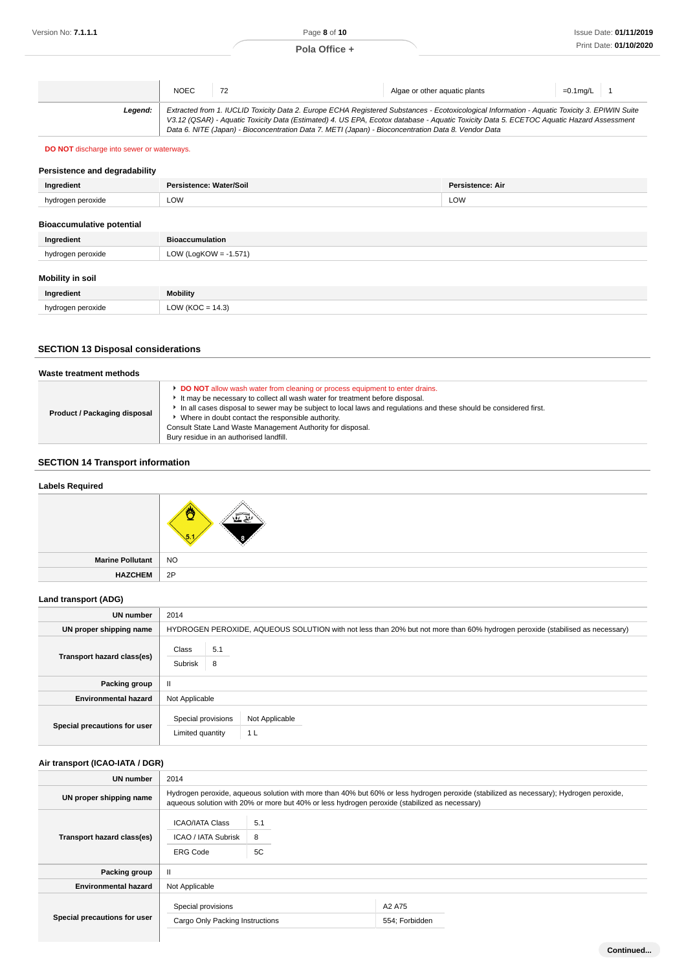|         | NOEC | Algae or other aquatic plants                                                                                                                 | $=0.1$ mg/L 1 |
|---------|------|-----------------------------------------------------------------------------------------------------------------------------------------------|---------------|
|         |      |                                                                                                                                               |               |
| Leaend: |      | Extracted from 1. IUCLID Toxicity Data 2. Europe ECHA Registered Substances - Ecotoxicological Information - Aquatic Toxicity 3. EPIWIN Suite |               |
|         |      | V3.12 (QSAR) - Aquatic Toxicity Data (Estimated) 4. US EPA, Ecotox database - Aquatic Toxicity Data 5. ECETOC Aquatic Hazard Assessment       |               |
|         |      | Data 6. NITE (Japan) - Bioconcentration Data 7. METI (Japan) - Bioconcentration Data 8. Vendor Data                                           |               |

## **DO NOT** discharge into sewer or waterways.

## **Persistence and degradability**

| Ingredient                       | Persistence: Water/Soil | Persistence: Air |
|----------------------------------|-------------------------|------------------|
| hydrogen peroxide                | LOW                     | LOW              |
| <b>Bioaccumulative potential</b> |                         |                  |
| Ingredient                       | <b>Bioaccumulation</b>  |                  |

| Mobility in soil  |                      |
|-------------------|----------------------|
| Ingredient        | <b>Mobility</b>      |
| hydrogen peroxide | LOW ( $KOC = 14.3$ ) |

## **SECTION 13 Disposal considerations**

hydrogen peroxide LOW (LogKOW = -1.571)

| Waste treatment methods      |                                                                                                                                                                                                                                                                                                                                                                                                                                                          |
|------------------------------|----------------------------------------------------------------------------------------------------------------------------------------------------------------------------------------------------------------------------------------------------------------------------------------------------------------------------------------------------------------------------------------------------------------------------------------------------------|
| Product / Packaging disposal | <b>DO NOT</b> allow wash water from cleaning or process equipment to enter drains.<br>It may be necessary to collect all wash water for treatment before disposal.<br>In all cases disposal to sewer may be subject to local laws and regulations and these should be considered first.<br>▶ Where in doubt contact the responsible authority.<br>Consult State Land Waste Management Authority for disposal.<br>Bury residue in an authorised landfill. |

## **SECTION 14 Transport information**

## **Labels Required**

| Marine Pollutant   NO |    |
|-----------------------|----|
| <b>HAZCHEM</b>        | 2P |

## **Land transport (ADG)**

| <b>UN number</b>             | 2014                                                                                                                         |
|------------------------------|------------------------------------------------------------------------------------------------------------------------------|
| UN proper shipping name      | HYDROGEN PEROXIDE, AQUEOUS SOLUTION with not less than 20% but not more than 60% hydrogen peroxide (stabilised as necessary) |
| Transport hazard class(es)   | Class<br>5.1<br>Subrisk<br>8                                                                                                 |
| Packing group                | н                                                                                                                            |
| <b>Environmental hazard</b>  | Not Applicable                                                                                                               |
| Special precautions for user | Special provisions<br>Not Applicable<br>Limited quantity<br>1 <sub>L</sub>                                                   |

## **Air transport (ICAO-IATA / DGR)**

| <b>UN number</b>             | 2014                                                             |                                                                                               |                                                                                                                                        |
|------------------------------|------------------------------------------------------------------|-----------------------------------------------------------------------------------------------|----------------------------------------------------------------------------------------------------------------------------------------|
| UN proper shipping name      |                                                                  | aqueous solution with 20% or more but 40% or less hydrogen peroxide (stabilized as necessary) | Hydrogen peroxide, aqueous solution with more than 40% but 60% or less hydrogen peroxide (stabilized as necessary); Hydrogen peroxide, |
| Transport hazard class(es)   | <b>ICAO/IATA Class</b><br>ICAO / IATA Subrisk<br><b>ERG Code</b> | 5.1<br>8<br>5C                                                                                |                                                                                                                                        |
| <b>Packing group</b>         | $\mathbf{II}$                                                    |                                                                                               |                                                                                                                                        |
| <b>Environmental hazard</b>  | Not Applicable                                                   |                                                                                               |                                                                                                                                        |
| Special precautions for user | Special provisions<br>Cargo Only Packing Instructions            |                                                                                               | A2 A75<br>554; Forbidden                                                                                                               |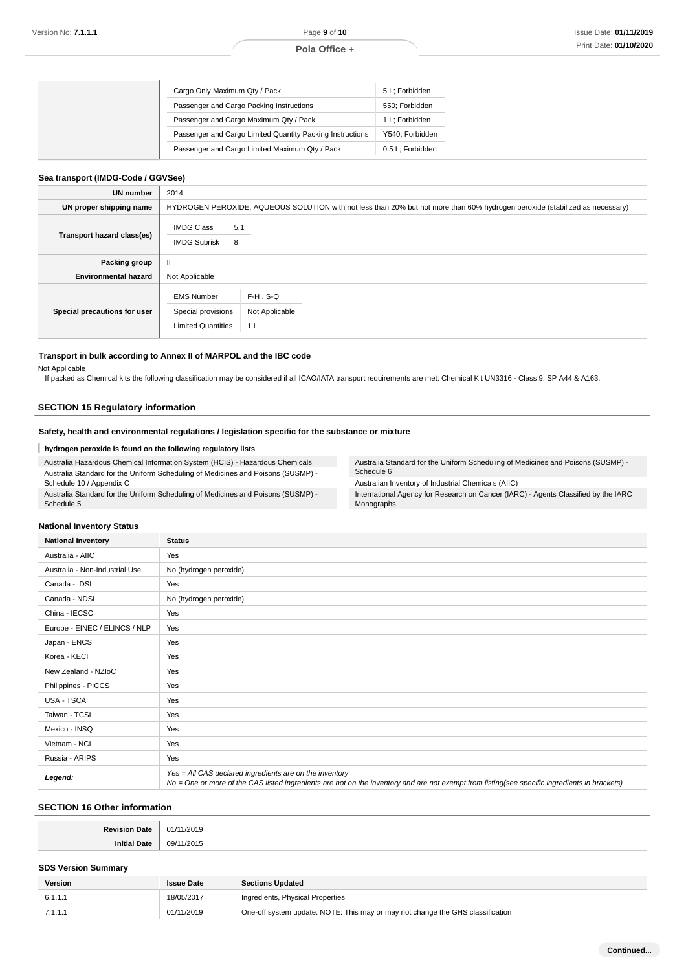## **Pola Office +**

| Cargo Only Maximum Qty / Pack                             | 5 L; Forbidden   |
|-----------------------------------------------------------|------------------|
| Passenger and Cargo Packing Instructions                  | 550; Forbidden   |
| Passenger and Cargo Maximum Qty / Pack                    | L: Forbidden     |
| Passenger and Cargo Limited Quantity Packing Instructions | Y540: Forbidden  |
| Passenger and Cargo Limited Maximum Qty / Pack            | 0.5 L: Forbidden |

### **Sea transport (IMDG-Code / GGVSee)**

| UN number                    | 2014                                                                                                                         |                                                 |  |
|------------------------------|------------------------------------------------------------------------------------------------------------------------------|-------------------------------------------------|--|
| UN proper shipping name      | HYDROGEN PEROXIDE, AQUEOUS SOLUTION with not less than 20% but not more than 60% hydrogen peroxide (stabilized as necessary) |                                                 |  |
| Transport hazard class(es)   | <b>IMDG Class</b><br><b>IMDG Subrisk</b>                                                                                     | 5.1<br>8                                        |  |
| Packing group                | Ш                                                                                                                            |                                                 |  |
| <b>Environmental hazard</b>  | Not Applicable                                                                                                               |                                                 |  |
| Special precautions for user | <b>EMS Number</b><br>Special provisions<br><b>Limited Quantities</b>                                                         | $F-H$ , S-Q<br>Not Applicable<br>1 <sub>L</sub> |  |

### **Transport in bulk according to Annex II of MARPOL and the IBC code**

Not Applicable

If packed as Chemical kits the following classification may be considered if all ICAO/IATA transport requirements are met: Chemical Kit UN3316 - Class 9, SP A44 & A163.

### **SECTION 15 Regulatory information**

## **Safety, health and environmental regulations / legislation specific for the substance or mixture**

### **hydrogen peroxide is found on the following regulatory lists**

| Australia Hazardous Chemical Information System (HCIS) - Hazardous Chemicals     | Australia Standard for the Uniform Scheduling of Medicines and Poisons (SUSMP) -   |  |
|----------------------------------------------------------------------------------|------------------------------------------------------------------------------------|--|
| Australia Standard for the Uniform Scheduling of Medicines and Poisons (SUSMP) - | Schedule 6                                                                         |  |
| Schedule 10 / Appendix C                                                         | Australian Inventory of Industrial Chemicals (AIIC)                                |  |
| Australia Standard for the Uniform Scheduling of Medicines and Poisons (SUSMP) - | International Agency for Research on Cancer (IARC) - Agents Classified by the IARC |  |
| Schedule 5                                                                       | Monographs                                                                         |  |

## **National Inventory Status**

| <b>National Inventory</b>      | <b>Status</b>                                                                                                                                                                                            |  |  |  |
|--------------------------------|----------------------------------------------------------------------------------------------------------------------------------------------------------------------------------------------------------|--|--|--|
| Australia - AIIC               | Yes                                                                                                                                                                                                      |  |  |  |
| Australia - Non-Industrial Use | No (hydrogen peroxide)                                                                                                                                                                                   |  |  |  |
| Canada - DSL                   | Yes                                                                                                                                                                                                      |  |  |  |
| Canada - NDSL                  | No (hydrogen peroxide)                                                                                                                                                                                   |  |  |  |
| China - IECSC                  | Yes                                                                                                                                                                                                      |  |  |  |
| Europe - EINEC / ELINCS / NLP  | Yes                                                                                                                                                                                                      |  |  |  |
| Japan - ENCS                   | Yes                                                                                                                                                                                                      |  |  |  |
| Korea - KECI                   | Yes                                                                                                                                                                                                      |  |  |  |
| New Zealand - NZIoC            | Yes                                                                                                                                                                                                      |  |  |  |
| Philippines - PICCS            | Yes                                                                                                                                                                                                      |  |  |  |
| USA - TSCA                     | Yes                                                                                                                                                                                                      |  |  |  |
| Taiwan - TCSI                  | Yes                                                                                                                                                                                                      |  |  |  |
| Mexico - INSQ                  | Yes                                                                                                                                                                                                      |  |  |  |
| Vietnam - NCI                  | Yes                                                                                                                                                                                                      |  |  |  |
| Russia - ARIPS                 | Yes                                                                                                                                                                                                      |  |  |  |
| Legend:                        | Yes = All CAS declared ingredients are on the inventory<br>No = One or more of the CAS listed ingredients are not on the inventory and are not exempt from listing(see specific ingredients in brackets) |  |  |  |

## **SECTION 16 Other information**

| .   | O1                   |
|-----|----------------------|
| ato | - 171                |
| ан  | na.<br>י∩י<br>◡<br>. |

## **SDS Version Summary**

| Version | <b>Issue Date</b> | <b>Sections Updated</b>                                                        |
|---------|-------------------|--------------------------------------------------------------------------------|
| 6.1.1.1 | 18/05/2017        | Ingredients, Physical Properties                                               |
| 7.1.1.1 | 01/11/2019        | One-off system update. NOTE: This may or may not change the GHS classification |